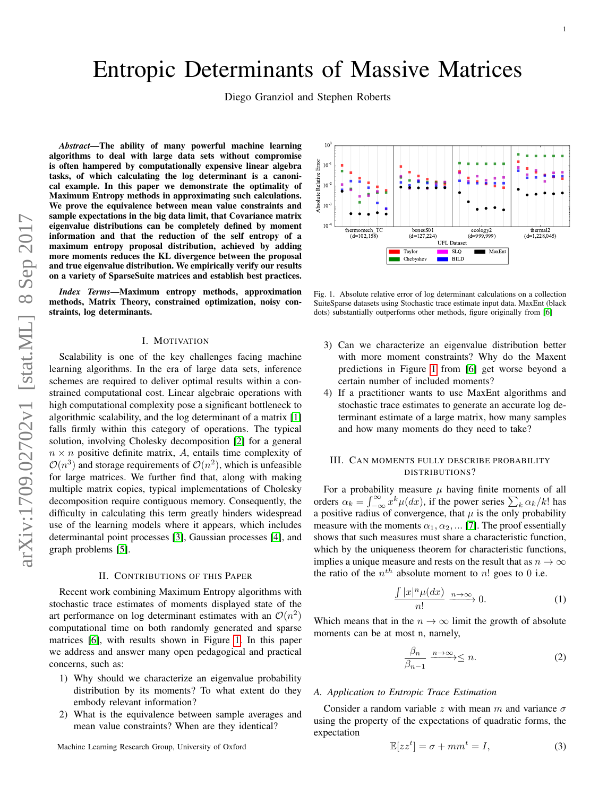# Entropic Determinants of Massive Matrices

Diego Granziol and Stephen Roberts

*Abstract*—The ability of many powerful machine learning algorithms to deal with large data sets without compromise is often hampered by computationally expensive linear algebra tasks, of which calculating the log determinant is a canonical example. In this paper we demonstrate the optimality of Maximum Entropy methods in approximating such calculations. We prove the equivalence between mean value constraints and sample expectations in the big data limit, that Covariance matrix eigenvalue distributions can be completely defined by moment information and that the reduction of the self entropy of a maximum entropy proposal distribution, achieved by adding more moments reduces the KL divergence between the proposal and true eigenvalue distribution. We empirically verify our results on a variety of SparseSuite matrices and establish best practices.

*Index Terms*—Maximum entropy methods, approximation methods, Matrix Theory, constrained optimization, noisy constraints, log determinants.

### I. MOTIVATION

Scalability is one of the key challenges facing machine learning algorithms. In the era of large data sets, inference schemes are required to deliver optimal results within a constrained computational cost. Linear algebraic operations with high computational complexity pose a significant bottleneck to algorithmic scalability, and the log determinant of a matrix [\[1\]](#page-7-0) falls firmly within this category of operations. The typical solution, involving Cholesky decomposition [\[2\]](#page-7-1) for a general  $n \times n$  positive definite matrix, A, entails time complexity of  $\mathcal{O}(n^3)$  and storage requirements of  $\mathcal{O}(n^2)$ , which is unfeasible for large matrices. We further find that, along with making multiple matrix copies, typical implementations of Cholesky decomposition require contiguous memory. Consequently, the difficulty in calculating this term greatly hinders widespread use of the learning models where it appears, which includes determinantal point processes [\[3\]](#page-7-2), Gaussian processes [\[4\]](#page-7-3), and graph problems [\[5\]](#page-8-0).

#### II. CONTRIBUTIONS OF THIS PAPER

Recent work combining Maximum Entropy algorithms with stochastic trace estimates of moments displayed state of the art performance on log determinant estimates with an  $\mathcal{O}(n^2)$ computational time on both randomly generated and sparse matrices [\[6\]](#page-8-1), with results shown in Figure [1.](#page-0-0) In this paper we address and answer many open pedagogical and practical concerns, such as:

- 1) Why should we characterize an eigenvalue probability distribution by its moments? To what extent do they embody relevant information?
- 2) What is the equivalence between sample averages and mean value constraints? When are they identical?



<span id="page-0-0"></span>Fig. 1. Absolute relative error of log determinant calculations on a collection SuiteSparse datasets using Stochastic trace estimate input data. MaxEnt (black dots) substantially outperforms other methods, figure originally from [\[6\]](#page-8-1)

- 3) Can we characterize an eigenvalue distribution better with more moment constraints? Why do the Maxent predictions in Figure [1](#page-0-0) from [\[6\]](#page-8-1) get worse beyond a certain number of included moments?
- 4) If a practitioner wants to use MaxEnt algorithms and stochastic trace estimates to generate an accurate log determinant estimate of a large matrix, how many samples and how many moments do they need to take?

## <span id="page-0-2"></span>III. CAN MOMENTS FULLY DESCRIBE PROBABILITY DISTRIBUTIONS?

For a probability measure  $\mu$  having finite moments of all orders  $\alpha_k = \int_{-\infty}^{\infty} x^k \mu(dx)$ , if the power series  $\sum_k \alpha_k / k!$  has a positive radius of convergence, that  $\mu$  is the only probability measure with the moments  $\alpha_1, \alpha_2, \dots$  [\[7\]](#page-8-2). The proof essentially shows that such measures must share a characteristic function, which by the uniqueness theorem for characteristic functions, implies a unique measure and rests on the result that as  $n \to \infty$ the ratio of the  $n^{th}$  absolute moment to n! goes to 0 i.e.

<span id="page-0-1"></span>
$$
\frac{\int |x|^n \mu(dx)}{n!} \xrightarrow{n \to \infty} 0.
$$
 (1)

Which means that in the  $n \to \infty$  limit the growth of absolute moments can be at most n, namely,

$$
\frac{\beta_n}{\beta_{n-1}} \xrightarrow{n \to \infty} \le n. \tag{2}
$$

#### *A. Application to Entropic Trace Estimation*

Consider a random variable z with mean m and variance  $\sigma$ using the property of the expectations of quadratic forms, the expectation

$$
\mathbb{E}[zz^t] = \sigma + mm^t = I,\tag{3}
$$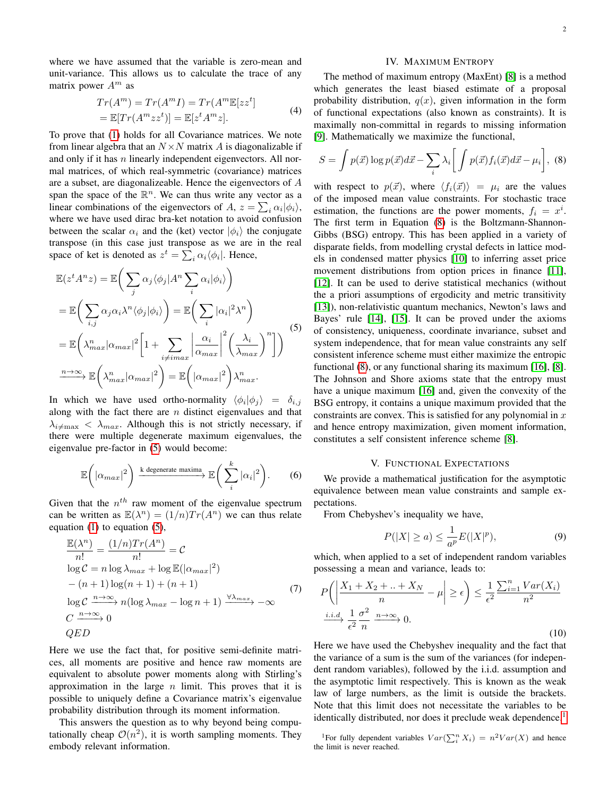where we have assumed that the variable is zero-mean and unit-variance. This allows us to calculate the trace of any matrix power  $A^m$  as

$$
Tr(Am) = Tr(AmI) = Tr(Am \mathbb{E}[zzt]= \mathbb{E}[Tr(Amzzt)] = \mathbb{E}[zt Amz].
$$
 (4)

To prove that [\(1\)](#page-0-1) holds for all Covariance matrices. We note from linear algebra that an  $N \times N$  matrix A is diagonalizable if and only if it has  $n$  linearly independent eigenvectors. All normal matrices, of which real-symmetric (covariance) matrices are a subset, are diagonalizeable. Hence the eigenvectors of A span the space of the  $\mathbb{R}^n$ . We can thus write any vector as a linear combinations of the eigenvectors of A,  $z = \sum_i \alpha_i |\phi_i\rangle$ , where we have used dirac bra-ket notation to avoid confusion between the scalar  $\alpha_i$  and the (ket) vector  $|\phi_i\rangle$  the conjugate transpose (in this case just transpose as we are in the real space of ket is denoted as  $z^t = \sum_i \alpha_i \langle \phi_i |$ . Hence,

$$
\mathbb{E}(z^t A^n z) = \mathbb{E}\left(\sum_j \alpha_j \langle \phi_j | A^n \sum_i \alpha_i | \phi_i \rangle\right)
$$
  
\n
$$
= \mathbb{E}\left(\sum_{i,j} \alpha_j \alpha_i \lambda^n \langle \phi_j | \phi_i \rangle\right) = \mathbb{E}\left(\sum_i |\alpha_i|^2 \lambda^n\right)
$$
  
\n
$$
= \mathbb{E}\left(\lambda_{max}^n |\alpha_{max}|^2 \left[1 + \sum_{i \neq max} \left|\frac{\alpha_i}{\alpha_{max}}\right|^2 \left(\frac{\lambda_i}{\lambda_{max}}\right)^n\right]\right)
$$
  
\n
$$
\xrightarrow{n \to \infty} \mathbb{E}\left(\lambda_{max}^n |\alpha_{max}|^2\right) = \mathbb{E}\left(|\alpha_{max}|^2\right)\lambda_{max}^n.
$$
 (5)

In which we have used ortho-normality  $\langle \phi_i | \phi_j \rangle = \delta_{i,j}$ along with the fact there are  $n$  distinct eigenvalues and that  $\lambda_{i\neq\max}$  <  $\lambda_{max}$ . Although this is not strictly necessary, if there were multiple degenerate maximum eigenvalues, the eigenvalue pre-factor in [\(5\)](#page-1-0) would become:

$$
\mathbb{E}\bigg(|\alpha_{max}|^2\bigg) \xrightarrow{k \text{ degenerate maxima}} \mathbb{E}\bigg(\sum_{i}^{k}|\alpha_i|^2\bigg). \qquad (6)
$$

Given that the  $n^{th}$  raw moment of the eigenvalue spectrum can be written as  $\mathbb{E}(\lambda^n) = (1/n)Tr(A^n)$  we can thus relate equation [\(1\)](#page-0-1) to equation [\(5\)](#page-1-0),

$$
\frac{\mathbb{E}(\lambda^n)}{n!} = \frac{(1/n)Tr(A^n)}{n!} = C
$$
  
\n
$$
\log C = n \log \lambda_{max} + \log \mathbb{E}(|\alpha_{max}|^2)
$$
  
\n
$$
-(n+1)\log(n+1) + (n+1)
$$
  
\n
$$
\log C \xrightarrow{n \to \infty} n(\log \lambda_{max} - \log n + 1) \xrightarrow{\forall \lambda_{max}} -\infty
$$
  
\n
$$
C \xrightarrow{n \to \infty} 0
$$
\nQED\n(9.12)

Here we use the fact that, for positive semi-definite matrices, all moments are positive and hence raw moments are equivalent to absolute power moments along with Stirling's approximation in the large  $n$  limit. This proves that it is possible to uniquely define a Covariance matrix's eigenvalue probability distribution through its moment information.

This answers the question as to why beyond being computationally cheap  $\mathcal{O}(n^2)$ , it is worth sampling moments. They embody relevant information.

## <span id="page-1-1"></span>IV. MAXIMUM ENTROPY

The method of maximum entropy (MaxEnt) [\[8\]](#page-8-3) is a method which generates the least biased estimate of a proposal probability distribution,  $q(x)$ , given information in the form of functional expectations (also known as constraints). It is maximally non-committal in regards to missing information [\[9\]](#page-8-4). Mathematically we maximize the functional,

$$
S = \int p(\vec{x}) \log p(\vec{x}) d\vec{x} - \sum_{i} \lambda_{i} \left[ \int p(\vec{x}) f_{i}(\vec{x}) d\vec{x} - \mu_{i} \right], \tag{8}
$$

<span id="page-1-0"></span>with respect to  $p(\vec{x})$ , where  $\langle f_i(\vec{x}) \rangle = \mu_i$  are the values of the imposed mean value constraints. For stochastic trace estimation, the functions are the power moments,  $f_i = x^i$ . The first term in Equation [\(8\)](#page-1-1) is the Boltzmann-Shannon-Gibbs (BSG) entropy. This has been applied in a variety of disparate fields, from modelling crystal defects in lattice models in condensed matter physics [\[10\]](#page-8-5) to inferring asset price movement distributions from option prices in finance [\[11\]](#page-8-6), [\[12\]](#page-8-7). It can be used to derive statistical mechanics (without the a priori assumptions of ergodicity and metric transitivity [\[13\]](#page-8-8)), non-relativistic quantum mechanics, Newton's laws and Bayes' rule [\[14\]](#page-8-9), [\[15\]](#page-8-10). It can be proved under the axioms of consistency, uniqueness, coordinate invariance, subset and system independence, that for mean value constraints any self consistent inference scheme must either maximize the entropic functional [\(8\)](#page-1-1), or any functional sharing its maximum [\[16\]](#page-8-11), [\[8\]](#page-8-3). The Johnson and Shore axioms state that the entropy must have a unique maximum [\[16\]](#page-8-11) and, given the convexity of the BSG entropy, it contains a unique maximum provided that the constraints are convex. This is satisfied for any polynomial in  $x$ and hence entropy maximization, given moment information, constitutes a self consistent inference scheme [\[8\]](#page-8-3).

#### V. FUNCTIONAL EXPECTATIONS

We provide a mathematical justification for the asymptotic equivalence between mean value constraints and sample expectations.

From Chebyshev's inequality we have,

$$
P(|X| \ge a) \le \frac{1}{a^p} E(|X|^p),\tag{9}
$$

which, when applied to a set of independent random variables possessing a mean and variance, leads to:

$$
P\left(\left|\frac{X_1 + X_2 + \ldots + X_N}{n} - \mu\right| \ge \epsilon\right) \le \frac{1}{\epsilon^2} \frac{\sum_{i=1}^n Var(X_i)}{n^2}
$$
  
*i.i.d.*  $\frac{1}{\epsilon^2} \frac{\sigma^2}{n} \xrightarrow{n \to \infty} 0.$  (10)

Here we have used the Chebyshev inequality and the fact that the variance of a sum is the sum of the variances (for independent random variables), followed by the i.i.d. assumption and the asymptotic limit respectively. This is known as the weak law of large numbers, as the limit is outside the brackets. Note that this limit does not necessitate the variables to be identically distributed, nor does it preclude weak dependence.<sup>[1](#page-1-2)</sup>

<span id="page-1-2"></span><sup>1</sup>For fully dependent variables  $Var(\sum_{i=1}^{n} X_i) = n^2 Var(X)$  and hence the limit is never reached.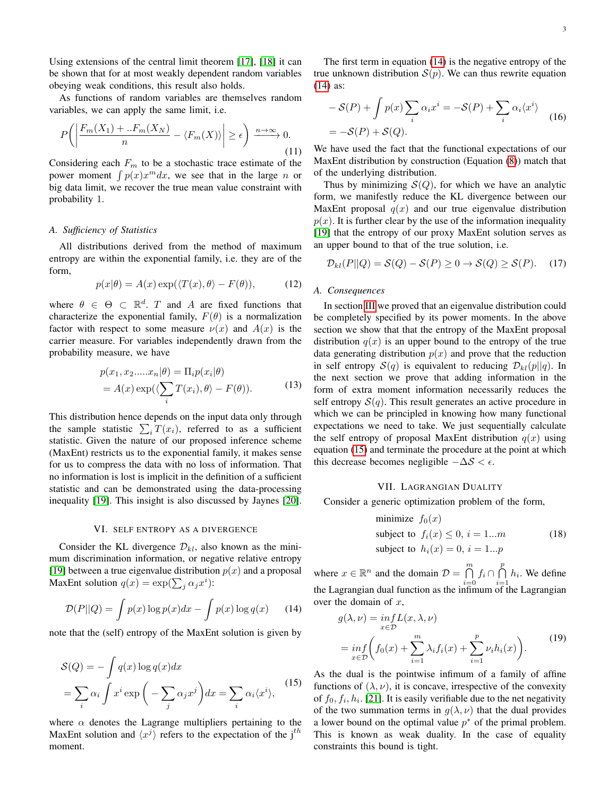Using extensions of the central limit theorem [\[17\]](#page-8-12), [\[18\]](#page-8-13) it can be shown that for at most weakly dependent random variables obeying weak conditions, this result also holds.

As functions of random variables are themselves random variables, we can apply the same limit, i.e.

$$
P\left(\left|\frac{F_m(X_1)+...F_m(X_N)}{n} - \langle F_m(X)\rangle\right| \ge \epsilon\right) \xrightarrow{n \to \infty} 0.
$$
\n(11)

Considering each  $F_m$  to be a stochastic trace estimate of the power moment  $\int p(x)x^{m}dx$ , we see that in the large n or big data limit, we recover the true mean value constraint with probability 1.

## *A. Sufficiency of Statistics*

All distributions derived from the method of maximum entropy are within the exponential family, i.e. they are of the form,

$$
p(x|\theta) = A(x) \exp(\langle T(x), \theta \rangle - F(\theta)), \tag{12}
$$

where  $\theta \in \Theta \subset \mathbb{R}^d$ . T and A are fixed functions that characterize the exponential family,  $F(\theta)$  is a normalization factor with respect to some measure  $\nu(x)$  and  $A(x)$  is the carrier measure. For variables independently drawn from the probability measure, we have

$$
p(x_1, x_2, \dots, x_n | \theta) = \Pi_i p(x_i | \theta)
$$
  
=  $A(x) \exp(\langle \sum_i T(x_i), \theta \rangle - F(\theta)).$  (13)

This distribution hence depends on the input data only through the sample statistic  $\sum_i T(x_i)$ , referred to as a sufficient statistic. Given the nature of our proposed inference scheme (MaxEnt) restricts us to the exponential family, it makes sense for us to compress the data with no loss of information. That no information is lost is implicit in the definition of a sufficient statistic and can be demonstrated using the data-processing inequality [\[19\]](#page-8-14). This insight is also discussed by Jaynes [\[20\]](#page-8-15).

#### VI. SELF ENTROPY AS A DIVERGENCE

Consider the KL divergence  $\mathcal{D}_{kl}$ , also known as the minimum discrimination information, or negative relative entropy [\[19\]](#page-8-14) between a true eigenvalue distribution  $p(x)$  and a proposal MaxEnt solution  $q(x) = \exp(\sum_j \alpha_j x^i)$ :

$$
\mathcal{D}(P||Q) = \int p(x) \log p(x) dx - \int p(x) \log q(x) \qquad (14)
$$

<span id="page-2-1"></span>note that the (self) entropy of the MaxEnt solution is given by

$$
\mathcal{S}(Q) = -\int q(x) \log q(x) dx
$$
  
=  $\sum_{i} \alpha_{i} \int x^{i} \exp\left(-\sum_{j} \alpha_{j} x^{j}\right) dx = \sum_{i} \alpha_{i} \langle x^{i} \rangle,$  (15)

where  $\alpha$  denotes the Lagrange multipliers pertaining to the MaxEnt solution and  $\langle x^j \rangle$  refers to the expectation of the j<sup>th</sup> moment.

The first term in equation [\(14\)](#page-2-0) is the negative entropy of the true unknown distribution  $S(p)$ . We can thus rewrite equation [\(14\)](#page-2-0) as:

<span id="page-2-3"></span>
$$
-S(P) + \int p(x) \sum_{i} \alpha_i x^i = -S(P) + \sum_{i} \alpha_i \langle x^i \rangle
$$
  
= -S(P) + S(Q). (16)

We have used the fact that the functional expectations of our MaxEnt distribution by construction (Equation [\(8\)](#page-1-1)) match that of the underlying distribution.

Thus by minimizing  $S(Q)$ , for which we have an analytic form, we manifestly reduce the KL divergence between our MaxEnt proposal  $q(x)$  and our true eigenvalue distribution  $p(x)$ . It is further clear by the use of the information inequality [\[19\]](#page-8-14) that the entropy of our proxy MaxEnt solution serves as an upper bound to that of the true solution, i.e.

<span id="page-2-2"></span>
$$
\mathcal{D}_{kl}(P||Q) = \mathcal{S}(Q) - \mathcal{S}(P) \ge 0 \to \mathcal{S}(Q) \ge \mathcal{S}(P). \tag{17}
$$

#### *A. Consequences*

In section [III](#page-0-2) we proved that an eigenvalue distribution could be completely specified by its power moments. In the above section we show that that the entropy of the MaxEnt proposal distribution  $q(x)$  is an upper bound to the entropy of the true data generating distribution  $p(x)$  and prove that the reduction in self entropy  $S(q)$  is equivalent to reducing  $\mathcal{D}_{kl}(p||q)$ . In the next section we prove that adding information in the form of extra moment information necessarily reduces the self entropy  $S(q)$ . This result generates an active procedure in which we can be principled in knowing how many functional expectations we need to take. We just sequentially calculate the self entropy of proposal MaxEnt distribution  $q(x)$  using equation [\(15\)](#page-2-1) and terminate the procedure at the point at which this decrease becomes negligible  $-\Delta S < \epsilon$ .

### VII. LAGRANGIAN DUALITY

Consider a generic optimization problem of the form,

minimize 
$$
f_0(x)
$$
  
subject to  $f_i(x) \le 0$ ,  $i = 1...m$  (18)  
subject to  $h_i(x) = 0$ ,  $i = 1...p$ 

<span id="page-2-0"></span>where  $x \in \mathbb{R}^n$  and the domain  $\mathcal{D} = \bigcap^m$  $\bigcap_{i=0}^m f_i \cap \bigcap_{i=1}^p$  $\bigcap_{i=1}^{\infty} h_i$ . We define the Lagrangian dual function as the infimum of the Lagrangian over the domain of  $x$ ,

$$
g(\lambda, \nu) = \inf_{x \in \mathcal{D}} L(x, \lambda, \nu)
$$
  
= 
$$
\inf_{x \in \mathcal{D}} \left( f_0(x) + \sum_{i=1}^m \lambda_i f_i(x) + \sum_{i=1}^p \nu_i h_i(x) \right).
$$
 (19)

As the dual is the pointwise infimum of a family of affine functions of  $(\lambda, \nu)$ , it is concave, irrespective of the convexity of  $f_0, f_i, h_i$ . [\[21\]](#page-8-16). It is easily verifiable due to the net negativity of the two summation terms in  $q(\lambda, \nu)$  that the dual provides a lower bound on the optimal value  $p^*$  of the primal problem. This is known as weak duality. In the case of equality constraints this bound is tight.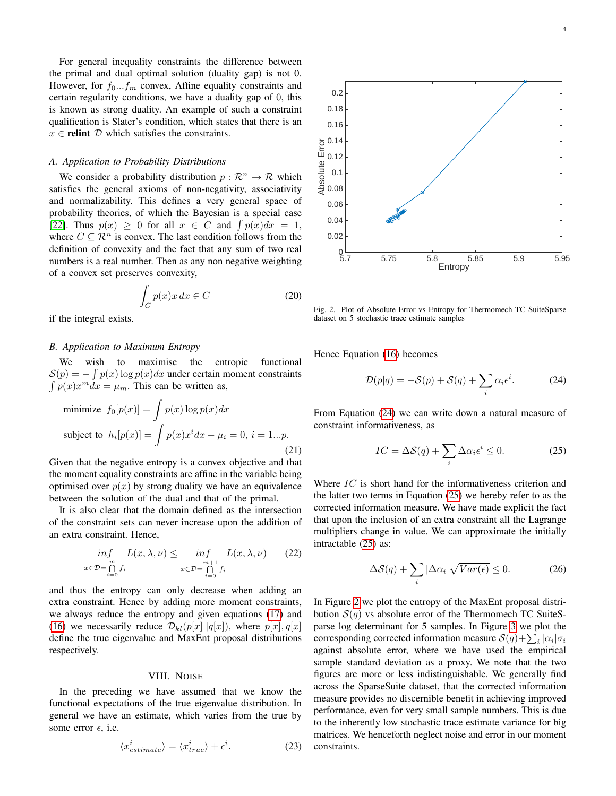For general inequality constraints the difference between the primal and dual optimal solution (duality gap) is not 0. However, for  $f_0...f_m$  convex, Affine equality constraints and certain regularity conditions, we have a duality gap of 0, this is known as strong duality. An example of such a constraint qualification is Slater's condition, which states that there is an  $x \in$  relint  $D$  which satisfies the constraints.

#### *A. Application to Probability Distributions*

We consider a probability distribution  $p : \mathcal{R}^n \to \mathcal{R}$  which satisfies the general axioms of non-negativity, associativity and normalizability. This defines a very general space of probability theories, of which the Bayesian is a special case [\[22\]](#page-8-17). Thus  $p(x) \ge 0$  for all  $x \in C$  and  $\int p(x)dx = 1$ , where  $C \subseteq \mathcal{R}^n$  is convex. The last condition follows from the definition of convexity and the fact that any sum of two real numbers is a real number. Then as any non negative weighting of a convex set preserves convexity,

$$
\int_C p(x)x \, dx \in C \tag{20}
$$

if the integral exists.

#### <span id="page-3-3"></span>*B. Application to Maximum Entropy*

We wish to maximise the entropic functional  $S(p) = -\int p(x) \log p(x) dx$  under certain moment constraints  $\int p(x)x^{m}dx = \mu_{m}$ . This can be written as,

minimize 
$$
f_0[p(x)] = \int p(x) \log p(x) dx
$$
  
subject to  $h_i[p(x)] = \int p(x) x^i dx - \mu_i = 0, i = 1...p.$  (21)

Given that the negative entropy is a convex objective and that the moment equality constraints are affine in the variable being optimised over  $p(x)$  by strong duality we have an equivalence between the solution of the dual and that of the primal.

It is also clear that the domain defined as the intersection of the constraint sets can never increase upon the addition of an extra constraint. Hence,

$$
\inf_{x \in \mathcal{D} = \bigcap_{i=0}^{m} f_i} L(x, \lambda, \nu) \le \inf_{\substack{m+1 \\ x \in \mathcal{D} = \bigcap_{i=0}^{m+1} f_i}} L(x, \lambda, \nu) \tag{22}
$$

and thus the entropy can only decrease when adding an extra constraint. Hence by adding more moment constraints, we always reduce the entropy and given equations [\(17\)](#page-2-2) and [\(16\)](#page-2-3) we necessarily reduce  $\mathcal{D}_{kl}(p[x]||q[x])$ , where  $p[x], q[x]$ define the true eigenvalue and MaxEnt proposal distributions respectively.

#### VIII. NOISE

In the preceding we have assumed that we know the functional expectations of the true eigenvalue distribution. In general we have an estimate, which varies from the true by some error  $\epsilon$ , i.e.

$$
\langle x_{estimate}^{i} \rangle = \langle x_{true}^{i} \rangle + \epsilon^{i}.
$$
 (23)



Fig. 2. Plot of Absolute Error vs Entropy for Thermomech TC SuiteSparse dataset on 5 stochastic trace estimate samples

Hence Equation [\(16\)](#page-2-3) becomes

<span id="page-3-2"></span><span id="page-3-0"></span>
$$
\mathcal{D}(p|q) = -\mathcal{S}(p) + \mathcal{S}(q) + \sum_{i} \alpha_i \epsilon^i.
$$
 (24)

From Equation [\(24\)](#page-3-0) we can write down a natural measure of constraint informativeness, as

<span id="page-3-1"></span>
$$
IC = \Delta S(q) + \sum_{i} \Delta \alpha_i \epsilon^i \le 0.
$$
 (25)

Where IC is short hand for the informativeness criterion and the latter two terms in Equation [\(25\)](#page-3-1) we hereby refer to as the corrected information measure. We have made explicit the fact that upon the inclusion of an extra constraint all the Lagrange multipliers change in value. We can approximate the initially intractable [\(25\)](#page-3-1) as:

$$
\Delta S(q) + \sum_{i} |\Delta \alpha_i| \sqrt{Var(\epsilon)} \le 0.
$$
 (26)

In Figure [2](#page-3-2) we plot the entropy of the MaxEnt proposal distribution  $S(q)$  vs absolute error of the Thermomech TC SuiteSparse log determinant for 5 samples. In Figure [3](#page-4-0) we plot the corresponding corrected information measure  $\mathcal{S}(q)$ + $\sum_i |\alpha_i| \sigma_i$ against absolute error, where we have used the empirical sample standard deviation as a proxy. We note that the two figures are more or less indistinguishable. We generally find across the SparseSuite dataset, that the corrected information measure provides no discernible benefit in achieving improved performance, even for very small sample numbers. This is due to the inherently low stochastic trace estimate variance for big matrices. We henceforth neglect noise and error in our moment constraints.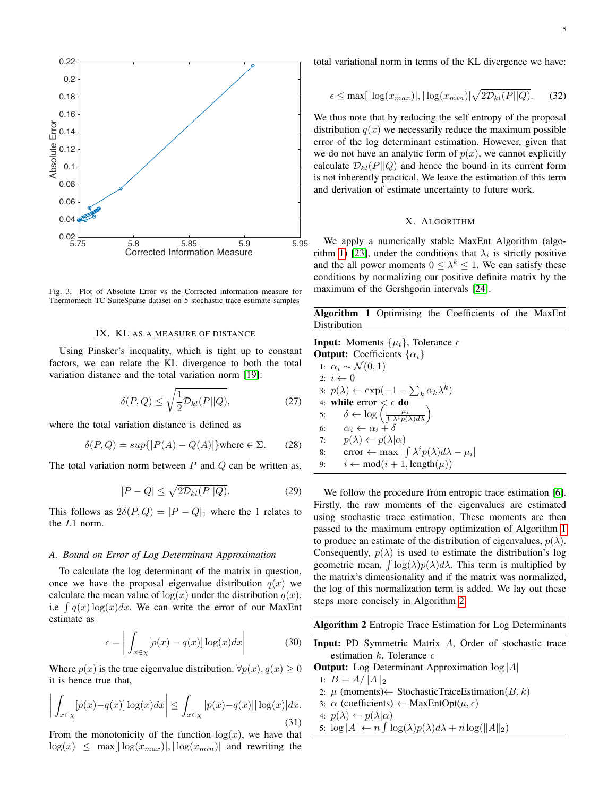

Fig. 3. Plot of Absolute Error vs the Corrected information measure for Thermomech TC SuiteSparse dataset on 5 stochastic trace estimate samples

#### <span id="page-4-0"></span>IX. KL AS A MEASURE OF DISTANCE

Using Pinsker's inequality, which is tight up to constant factors, we can relate the KL divergence to both the total variation distance and the total variation norm [\[19\]](#page-8-14):

$$
\delta(P,Q) \le \sqrt{\frac{1}{2} \mathcal{D}_{kl}(P||Q)},\tag{27}
$$

where the total variation distance is defined as

$$
\delta(P, Q) = \sup\{|P(A) - Q(A)|\} \text{where } \in \Sigma. \tag{28}
$$

The total variation norm between  $P$  and  $Q$  can be written as,

$$
|P - Q| \le \sqrt{2\mathcal{D}_{kl}(P||Q)}.
$$
\n(29)

This follows as  $2\delta(P,Q) = |P - Q|_1$  where the 1 relates to the L1 norm.

#### *A. Bound on Error of Log Determinant Approximation*

To calculate the log determinant of the matrix in question, once we have the proposal eigenvalue distribution  $q(x)$  we calculate the mean value of  $log(x)$  under the distribution  $q(x)$ , i.e  $\int q(x) \log(x) dx$ . We can write the error of our MaxEnt estimate as

$$
\epsilon = \left| \int_{x \in \chi} [p(x) - q(x)] \log(x) dx \right| \tag{30}
$$

Where  $p(x)$  is the true eigenvalue distribution.  $\forall p(x), q(x) \geq 0$ it is hence true that,

$$
\left| \int_{x \in \chi} [p(x) - q(x)] \log(x) dx \right| \le \int_{x \in \chi} |p(x) - q(x)| |\log(x)| dx.
$$
\n(31)

From the monotonicity of the function  $log(x)$ , we have that  $\log(x) \leq \max[|\log(x_{max})|, |\log(x_{min})|]$  and rewriting the <span id="page-4-3"></span>total variational norm in terms of the KL divergence we have:

$$
\epsilon \le \max[|\log(x_{max})|, |\log(x_{min})| \sqrt{2\mathcal{D}_{kl}(P||Q)}.\tag{32}
$$

We thus note that by reducing the self entropy of the proposal distribution  $q(x)$  we necessarily reduce the maximum possible error of the log determinant estimation. However, given that we do not have an analytic form of  $p(x)$ , we cannot explicitly calculate  $\mathcal{D}_{kl}(P||Q)$  and hence the bound in its current form is not inherently practical. We leave the estimation of this term and derivation of estimate uncertainty to future work.

## X. ALGORITHM

We apply a numerically stable MaxEnt Algorithm (algo-rithm [1\)](#page-4-1) [\[23\]](#page-8-18), under the conditions that  $\lambda_i$  is strictly positive and the all power moments  $0 \leq \lambda^k \leq 1$ . We can satisfy these conditions by normalizing our positive definite matrix by the maximum of the Gershgorin intervals [\[24\]](#page-8-19).

Algorithm 1 Optimising the Coefficients of the MaxEnt Distribution

<span id="page-4-1"></span>**Input:** Moments  $\{\mu_i\}$ , Tolerance  $\epsilon$ **Output:** Coefficients  $\{\alpha_i\}$ 1:  $\alpha_i \sim \mathcal{N}(0, 1)$ 2:  $i \leftarrow 0$ 3:  $p(\lambda) \leftarrow \exp(-1 - \sum_k \alpha_k \lambda^k)$ 4: while error  $\leq \epsilon$  do 5:  $\delta \leftarrow \log \left( \frac{\mu_i}{\int \lambda^i p(\lambda) d\lambda} \right)$ 6:  $\alpha_i \leftarrow \alpha_i + \delta$ 7:  $p(\lambda) \leftarrow p(\lambda|\alpha)$ 8: error  $\leftarrow$  max  $\left| \int \lambda^i p(\lambda) d\lambda - \mu_i \right|$ 9:  $i \leftarrow \text{mod}(i + 1, \text{length}(\mu))$ 

We follow the procedure from entropic trace estimation [\[6\]](#page-8-1). Firstly, the raw moments of the eigenvalues are estimated using stochastic trace estimation. These moments are then passed to the maximum entropy optimization of Algorithm [1](#page-4-1) to produce an estimate of the distribution of eigenvalues,  $p(\lambda)$ . Consequently,  $p(\lambda)$  is used to estimate the distribution's log geometric mean,  $\int \log(\lambda)p(\lambda)d\lambda$ . This term is multiplied by the matrix's dimensionality and if the matrix was normalized, the log of this normalization term is added. We lay out these steps more concisely in Algorithm [2.](#page-4-2)

## Algorithm 2 Entropic Trace Estimation for Log Determinants

- <span id="page-4-2"></span>Input: PD Symmetric Matrix A, Order of stochastic trace estimation k, Tolerance  $\epsilon$
- **Output:** Log Determinant Approximation  $\log |A|$

1:  $B = A/||A||_2$ 

- 2:  $\mu$  (moments)← StochasticTraceEstimation( $B, k$ )
- 3:  $\alpha$  (coefficients)  $\leftarrow$  MaxEntOpt( $\mu$ ,  $\epsilon$ )
- 4:  $p(\lambda) \leftarrow p(\lambda|\alpha)$
- 5:  $\log |A| \leftarrow n \int \log(\lambda) p(\lambda) d\lambda + n \log(||A||_2)$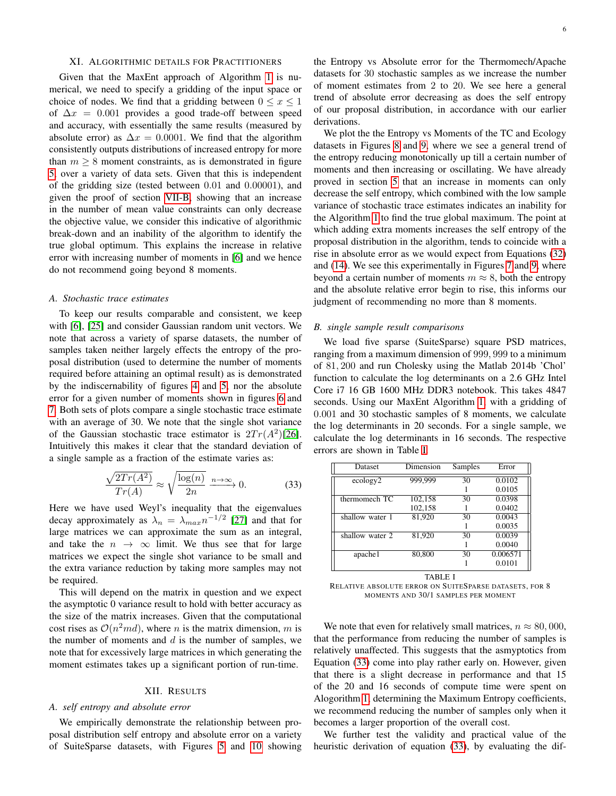## XI. ALGORITHMIC DETAILS FOR PRACTITIONERS

Given that the MaxEnt approach of Algorithm [1](#page-4-1) is numerical, we need to specify a gridding of the input space or choice of nodes. We find that a gridding between  $0 \le x \le 1$ of  $\Delta x = 0.001$  provides a good trade-off between speed and accuracy, with essentially the same results (measured by absolute error) as  $\Delta x = 0.0001$ . We find that the algorithm consistently outputs distributions of increased entropy for more than  $m \geq 8$  moment constraints, as is demonstrated in figure [5,](#page-6-0) over a variety of data sets. Given that this is independent of the gridding size (tested between 0.01 and 0.00001), and given the proof of section [VII-B,](#page-3-3) showing that an increase in the number of mean value constraints can only decrease the objective value, we consider this indicative of algorithmic break-down and an inability of the algorithm to identify the true global optimum. This explains the increase in relative error with increasing number of moments in [\[6\]](#page-8-1) and we hence do not recommend going beyond 8 moments.

#### *A. Stochastic trace estimates*

To keep our results comparable and consistent, we keep with [\[6\]](#page-8-1), [\[25\]](#page-8-20) and consider Gaussian random unit vectors. We note that across a variety of sparse datasets, the number of samples taken neither largely effects the entropy of the proposal distribution (used to determine the number of moments required before attaining an optimal result) as is demonstrated by the indiscernability of figures [4](#page-6-1) and [5,](#page-6-0) nor the absolute error for a given number of moments shown in figures [6](#page-7-4) and [7.](#page-7-5) Both sets of plots compare a single stochastic trace estimate with an average of 30. We note that the single shot variance of the Gaussian stochastic trace estimator is  $2Tr(A^2)[26]$  $2Tr(A^2)[26]$ . Intuitively this makes it clear that the standard deviation of a single sample as a fraction of the estimate varies as:

$$
\frac{\sqrt{2Tr(A^2)}}{Tr(A)} \approx \sqrt{\frac{\log(n)}{2n}} \xrightarrow{n \to \infty} 0.
$$
 (33)

Here we have used Weyl's inequality that the eigenvalues decay approximately as  $\lambda_n = \lambda_{max} n^{-1/2}$  [\[27\]](#page-8-22) and that for large matrices we can approximate the sum as an integral, and take the  $n \rightarrow \infty$  limit. We thus see that for large matrices we expect the single shot variance to be small and the extra variance reduction by taking more samples may not be required.

This will depend on the matrix in question and we expect the asymptotic 0 variance result to hold with better accuracy as the size of the matrix increases. Given that the computational cost rises as  $O(n^2md)$ , where *n* is the matrix dimension, *m* is the number of moments and  $d$  is the number of samples, we note that for excessively large matrices in which generating the moment estimates takes up a significant portion of run-time.

## XII. RESULTS

#### *A. self entropy and absolute error*

We empirically demonstrate the relationship between proposal distribution self entropy and absolute error on a variety of SuiteSparse datasets, with Figures [5](#page-6-0) and [10](#page-8-23) showing the Entropy vs Absolute error for the Thermomech/Apache datasets for 30 stochastic samples as we increase the number of moment estimates from 2 to 20. We see here a general trend of absolute error decreasing as does the self entropy of our proposal distribution, in accordance with our earlier derivations.

We plot the the Entropy vs Moments of the TC and Ecology datasets in Figures [8](#page-7-6) and [9,](#page-7-7) where we see a general trend of the entropy reducing monotonically up till a certain number of moments and then increasing or oscillating. We have already proved in section [5](#page-1-0) that an increase in moments can only decrease the self entropy, which combined with the low sample variance of stochastic trace estimates indicates an inability for the Algorithm [1](#page-4-1) to find the true global maximum. The point at which adding extra moments increases the self entropy of the proposal distribution in the algorithm, tends to coincide with a rise in absolute error as we would expect from Equations [\(32\)](#page-4-3) and [\(14\)](#page-2-0). We see this experimentally in Figures [7](#page-7-5) and [9,](#page-7-7) where beyond a certain number of moments  $m \approx 8$ , both the entropy and the absolute relative error begin to rise, this informs our judgment of recommending no more than 8 moments.

#### *B. single sample result comparisons*

We load five sparse (SuiteSparse) square PSD matrices, ranging from a maximum dimension of 999, 999 to a minimum of 81, 200 and run Cholesky using the Matlab 2014b 'Chol' function to calculate the log determinants on a 2.6 GHz Intel Core i7 16 GB 1600 MHz DDR3 notebook. This takes 4847 seconds. Using our MaxEnt Algorithm [1,](#page-4-1) with a gridding of 0.001 and 30 stochastic samples of 8 moments, we calculate the log determinants in 20 seconds. For a single sample, we calculate the log determinants in 16 seconds. The respective errors are shown in Table [I.](#page-5-0)

<span id="page-5-1"></span>

| Dataset              | Dimension | Samples | Error    |
|----------------------|-----------|---------|----------|
| ecology <sub>2</sub> | 999,999   | 30      | 0.0102   |
|                      |           |         | 0.0105   |
| thermomech TC        | 102,158   | 30      | 0.0398   |
|                      | 102,158   |         | 0.0402   |
| shallow water 1      | 81,920    | 30      | 0.0043   |
|                      |           |         | 0.0035   |
| shallow water 2      | 81.920    | 30      | 0.0039   |
|                      |           |         | 0.0040   |
| apache1              | 80,800    | 30      | 0.006571 |
|                      |           |         | 0.0101   |

<span id="page-5-0"></span>TABLE I

RELATIVE ABSOLUTE ERROR ON SUITESPARSE DATASETS, FOR 8 MOMENTS AND 30/1 SAMPLES PER MOMENT

We note that even for relatively small matrices,  $n \approx 80,000$ , that the performance from reducing the number of samples is relatively unaffected. This suggests that the asmyptotics from Equation [\(33\)](#page-5-1) come into play rather early on. However, given that there is a slight decrease in performance and that 15 of the 20 and 16 seconds of compute time were spent on Alogorithm [1,](#page-4-1) determining the Maximum Entropy coefficients, we recommend reducing the number of samples only when it becomes a larger proportion of the overall cost.

We further test the validity and practical value of the heuristic derivation of equation [\(33\)](#page-5-1), by evaluating the dif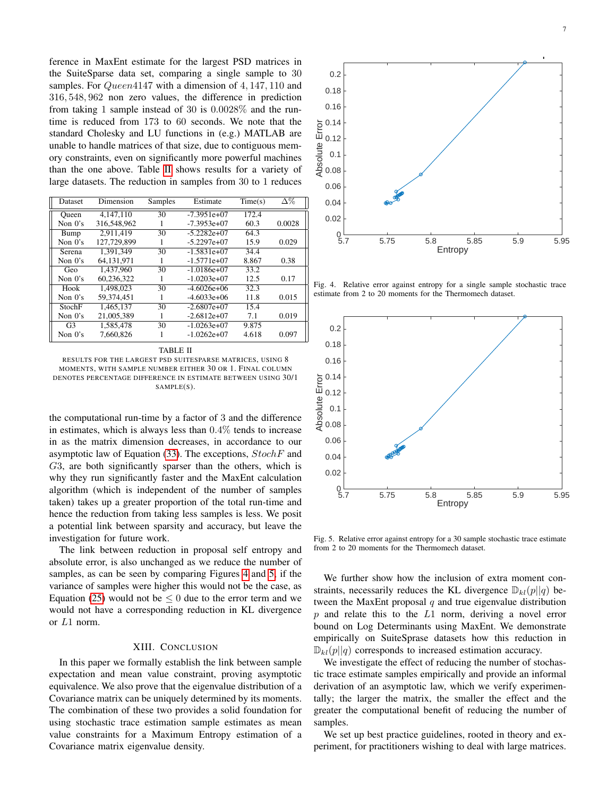ference in MaxEnt estimate for the largest PSD matrices in the SuiteSparse data set, comparing a single sample to 30 samples. For Queen4147 with a dimension of 4, 147, 110 and 316, 548, 962 non zero values, the difference in prediction from taking 1 sample instead of 30 is 0.0028% and the runtime is reduced from 173 to 60 seconds. We note that the standard Cholesky and LU functions in (e.g.) MATLAB are unable to handle matrices of that size, due to contiguous memory constraints, even on significantly more powerful machines than the one above. Table [II](#page-6-2) shows results for a variety of large datasets. The reduction in samples from 30 to 1 reduces

| Dataset        | Dimension   | Samples | Estimate      | Time(s) | $\Delta\%$ |
|----------------|-------------|---------|---------------|---------|------------|
| Oueen          | 4,147,110   | 30      | $-7.3951e+07$ | 172.4   |            |
| Non $0's$      | 316.548.962 |         | $-7.3953e+07$ | 60.3    | 0.0028     |
| Bump           | 2.911.419   | 30      | $-5.2282e+07$ | 64.3    |            |
| Non $0's$      | 127.729.899 | 1       | $-5.2297e+07$ | 15.9    | 0.029      |
| Serena         | 1.391.349   | 30      | $-1.5831e+07$ | 34.4    |            |
| Non $0's$      | 64.131.971  | 1       | $-1.5771e+07$ | 8.867   | 0.38       |
| Geo            | 1.437.960   | 30      | $-1.0186e+07$ | 33.2    |            |
| Non $0's$      | 60.236.322  | 1       | $-1.0203e+07$ | 12.5    | 0.17       |
| Hook           | 1.498.023   | 30      | $-4.6026e+06$ | 32.3    |            |
| Non $0's$      | 59.374.451  | 1       | $-4.6033e+06$ | 11.8    | 0.015      |
| StochF         | 1.465.137   | 30      | $-2.6807e+07$ | 15.4    |            |
| Non $0's$      | 21,005,389  | 1       | $-2.6812e+07$ | 7.1     | 0.019      |
| G <sub>3</sub> | 1.585.478   | 30      | $-1.0263e+07$ | 9.875   |            |
| Non $0$ 's     | 7.660.826   | 1       | $-1.0262e+07$ | 4.618   | 0.097      |

<span id="page-6-2"></span>TABLE II RESULTS FOR THE LARGEST PSD SUITESPARSE MATRICES, USING 8 MOMENTS, WITH SAMPLE NUMBER EITHER 30 OR 1. FINAL COLUMN DENOTES PERCENTAGE DIFFERENCE IN ESTIMATE BETWEEN USING 30/1 SAMPLE(S).

the computational run-time by a factor of 3 and the difference in estimates, which is always less than 0.4% tends to increase in as the matrix dimension decreases, in accordance to our asymptotic law of Equation  $(33)$ . The exceptions,  $StochF$  and G3, are both significantly sparser than the others, which is why they run significantly faster and the MaxEnt calculation algorithm (which is independent of the number of samples taken) takes up a greater proportion of the total run-time and hence the reduction from taking less samples is less. We posit a potential link between sparsity and accuracy, but leave the investigation for future work.

The link between reduction in proposal self entropy and absolute error, is also unchanged as we reduce the number of samples, as can be seen by comparing Figures [4](#page-6-1) and [5,](#page-6-0) if the variance of samples were higher this would not be the case, as Equation [\(25\)](#page-3-1) would not be  $\leq 0$  due to the error term and we would not have a corresponding reduction in KL divergence or L1 norm.

## XIII. CONCLUSION

In this paper we formally establish the link between sample expectation and mean value constraint, proving asymptotic equivalence. We also prove that the eigenvalue distribution of a Covariance matrix can be uniquely determined by its moments. The combination of these two provides a solid foundation for using stochastic trace estimation sample estimates as mean value constraints for a Maximum Entropy estimation of a Covariance matrix eigenvalue density.



<span id="page-6-1"></span>Fig. 4. Relative error against entropy for a single sample stochastic trace estimate from 2 to 20 moments for the Thermomech dataset.



<span id="page-6-0"></span>Fig. 5. Relative error against entropy for a 30 sample stochastic trace estimate from 2 to 20 moments for the Thermomech dataset.

We further show how the inclusion of extra moment constraints, necessarily reduces the KL divergence  $\mathbb{D}_{kl}(p||q)$  between the MaxEnt proposal  $q$  and true eigenvalue distribution  $p$  and relate this to the  $L1$  norm, deriving a novel error bound on Log Determinants using MaxEnt. We demonstrate empirically on SuiteSprase datasets how this reduction in  $\mathbb{D}_{kl}(p||q)$  corresponds to increased estimation accuracy.

We investigate the effect of reducing the number of stochastic trace estimate samples empirically and provide an informal derivation of an asymptotic law, which we verify experimentally; the larger the matrix, the smaller the effect and the greater the computational benefit of reducing the number of samples.

We set up best practice guidelines, rooted in theory and experiment, for practitioners wishing to deal with large matrices.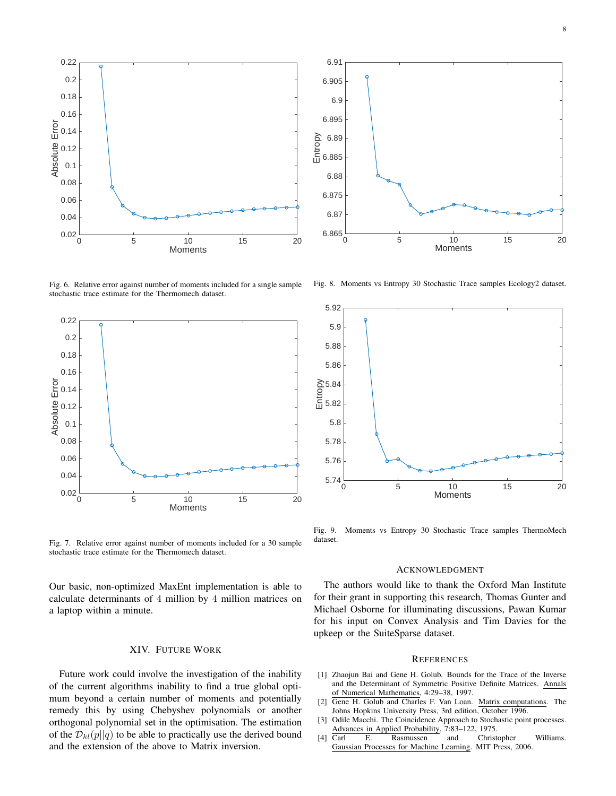

<span id="page-7-4"></span>Fig. 6. Relative error against number of moments included for a single sample stochastic trace estimate for the Thermomech dataset.



<span id="page-7-5"></span>Fig. 7. Relative error against number of moments included for a 30 sample stochastic trace estimate for the Thermomech dataset.

Our basic, non-optimized MaxEnt implementation is able to calculate determinants of 4 million by 4 million matrices on a laptop within a minute.

#### XIV. FUTURE WORK

Future work could involve the investigation of the inability of the current algorithms inability to find a true global optimum beyond a certain number of moments and potentially remedy this by using Chebyshev polynomials or another orthogonal polynomial set in the optimisation. The estimation of the  $\mathcal{D}_{kl}(p||q)$  to be able to practically use the derived bound and the extension of the above to Matrix inversion.



<span id="page-7-6"></span>Fig. 8. Moments vs Entropy 30 Stochastic Trace samples Ecology2 dataset.



Fig. 9. Moments vs Entropy 30 Stochastic Trace samples ThermoMech dataset.

#### <span id="page-7-7"></span>ACKNOWLEDGMENT

The authors would like to thank the Oxford Man Institute for their grant in supporting this research, Thomas Gunter and Michael Osborne for illuminating discussions, Pawan Kumar for his input on Convex Analysis and Tim Davies for the upkeep or the SuiteSparse dataset.

#### **REFERENCES**

- <span id="page-7-0"></span>[1] Zhaojun Bai and Gene H. Golub. Bounds for the Trace of the Inverse and the Determinant of Symmetric Positive Definite Matrices. Annals of Numerical Mathematics, 4:29–38, 1997.
- <span id="page-7-1"></span>[2] Gene H. Golub and Charles F. Van Loan. Matrix computations. The Johns Hopkins University Press, 3rd edition, October 1996.
- <span id="page-7-2"></span>[3] Odile Macchi. The Coincidence Approach to Stochastic point processes. Advances in Applied Probability, 7:83–122, 1975.
- <span id="page-7-3"></span>[4] Carl E. Rasmussen and Christopher Williams. Gaussian Processes for Machine Learning. MIT Press, 2006.